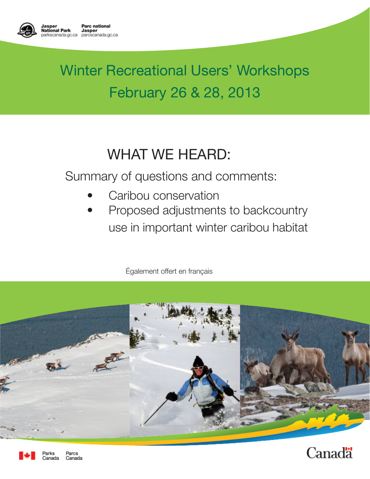

# Winter Recreational Users' Workshops February 26 & 28, 2013

# WHAT WE HEARD:

Summary of questions and comments:

- Caribou conservation
- Proposed adjustments to backcountry use in important winter caribou habitat

Également offert en français





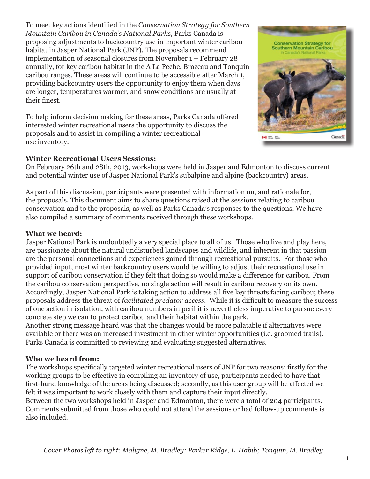To meet key actions identified in the *Conservation Strategy for Southern Mountain Caribou in Canada's National Parks*, Parks Canada is proposing adjustments to backcountry use in important winter caribou habitat in Jasper National Park (JNP). The proposals recommend implementation of seasonal closures from November 1 – February 28 annually, for key caribou habitat in the A La Peche, Brazeau and Tonquin caribou ranges. These areas will continue to be accessible after March 1, providing backcountry users the opportunity to enjoy them when days are longer, temperatures warmer, and snow conditions are usually at their finest.

To help inform decision making for these areas, Parks Canada offered interested winter recreational users the opportunity to discuss the proposals and to assist in compiling a winter recreational use inventory.



On February 26th and 28th, 2013, workshops were held in Jasper and Edmonton to discuss current and potential winter use of Jasper National Park's subalpine and alpine (backcountry) areas.

As part of this discussion, participants were presented with information on, and rationale for, the proposals. This document aims to share questions raised at the sessions relating to caribou conservation and to the proposals, as well as Parks Canada's responses to the questions. We have also compiled a summary of comments received through these workshops.

#### **What we heard:**

Jasper National Park is undoubtedly a very special place to all of us. Those who live and play here, are passionate about the natural undisturbed landscapes and wildlife, and inherent in that passion are the personal connections and experiences gained through recreational pursuits. For those who provided input, most winter backcountry users would be willing to adjust their recreational use in support of caribou conservation if they felt that doing so would make a difference for caribou. From the caribou conservation perspective, no single action will result in caribou recovery on its own. Accordingly, Jasper National Park is taking action to address all five key threats facing caribou; these proposals address the threat of *facilitated predator access*. While it is difficult to measure the success of one action in isolation, with caribou numbers in peril it is nevertheless imperative to pursue every concrete step we can to protect caribou and their habitat within the park.

Another strong message heard was that the changes would be more palatable if alternatives were available or there was an increased investment in other winter opportunities (i.e. groomed trails). Parks Canada is committed to reviewing and evaluating suggested alternatives.

#### **Who we heard from:**

The workshops specifically targeted winter recreational users of JNP for two reasons: firstly for the working groups to be effective in compiling an inventory of use, participants needed to have that first-hand knowledge of the areas being discussed; secondly, as this user group will be affected we felt it was important to work closely with them and capture their input directly. Between the two workshops held in Jasper and Edmonton, there were a total of 204 participants.

Comments submitted from those who could not attend the sessions or had follow-up comments is also included.

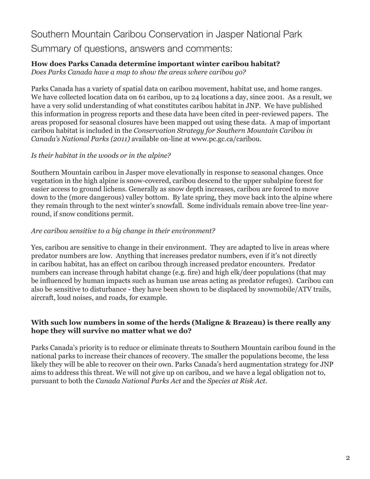## Southern Mountain Caribou Conservation in Jasper National Park Summary of questions, answers and comments:

#### **How does Parks Canada determine important winter caribou habitat?**  *Does Parks Canada have a map to show the areas where caribou go?*

Parks Canada has a variety of spatial data on caribou movement, habitat use, and home ranges. We have collected location data on 61 caribou, up to 24 locations a day, since 2001. As a result, we have a very solid understanding of what constitutes caribou habitat in JNP. We have published this information in progress reports and these data have been cited in peer-reviewed papers. The areas proposed for seasonal closures have been mapped out using these data. A map of important caribou habitat is included in the *Conservation Strategy for Southern Mountain Caribou in Canada's National Parks (2011)* available on-line at www.pc.gc.ca/caribou.

#### *Is their habitat in the woods or in the alpine?*

Southern Mountain caribou in Jasper move elevationally in response to seasonal changes. Once vegetation in the high alpine is snow-covered, caribou descend to the upper subalpine forest for easier access to ground lichens. Generally as snow depth increases, caribou are forced to move down to the (more dangerous) valley bottom. By late spring, they move back into the alpine where they remain through to the next winter's snowfall. Some individuals remain above tree-line yearround, if snow conditions permit.

#### *Are caribou sensitive to a big change in their environment?*

Yes, caribou are sensitive to change in their environment. They are adapted to live in areas where predator numbers are low. Anything that increases predator numbers, even if it's not directly in caribou habitat, has an effect on caribou through increased predator encounters. Predator numbers can increase through habitat change (e.g. fire) and high elk/deer populations (that may be influenced by human impacts such as human use areas acting as predator refuges). Caribou can also be sensitive to disturbance - they have been shown to be displaced by snowmobile/ATV trails, aircraft, loud noises, and roads, for example.

#### **With such low numbers in some of the herds (Maligne & Brazeau) is there really any hope they will survive no matter what we do?**

Parks Canada's priority is to reduce or eliminate threats to Southern Mountain caribou found in the national parks to increase their chances of recovery. The smaller the populations become, the less likely they will be able to recover on their own. Parks Canada's herd augmentation strategy for JNP aims to address this threat. We will not give up on caribou, and we have a legal obligation not to, pursuant to both the *Canada National Parks Act* and the *Species at Risk Act*.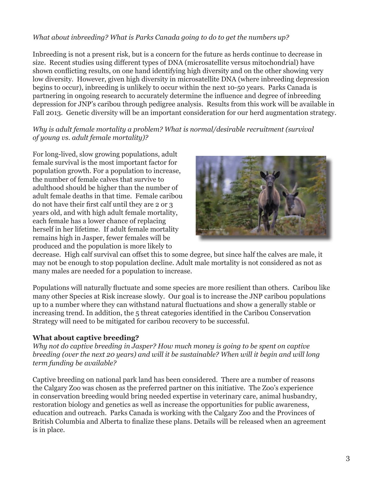#### *What about inbreeding? What is Parks Canada going to do to get the numbers up?*

 Fall 2013. Genetic diversity will be an important consideration for our herd augmentation strategy. Inbreeding is not a present risk, but is a concern for the future as herds continue to decrease in size. Recent studies using different types of DNA (microsatellite versus mitochondrial) have shown conflicting results, on one hand identifying high diversity and on the other showing very low diversity. However, given high diversity in microsatellite DNA (where inbreeding depression begins to occur), inbreeding is unlikely to occur within the next 10-50 years. Parks Canada is partnering in ongoing research to accurately determine the influence and degree of inbreeding depression for JNP's caribou through pedigree analysis. Results from this work will be available in

*Why is adult female mortality a problem? What is normal/desirable recruitment (survival of young vs. adult female mortality)?* 

For long-lived, slow growing populations, adult female survival is the most important factor for population growth. For a population to increase, the number of female calves that survive to adulthood should be higher than the number of adult female deaths in that time. Female caribou do not have their first calf until they are 2 or 3 years old, and with high adult female mortality, each female has a lower chance of replacing herself in her lifetime. If adult female mortality remains high in Jasper, fewer females will be produced and the population is more likely to



decrease. High calf survival can offset this to some degree, but since half the calves are male, it may not be enough to stop population decline. Adult male mortality is not considered as not as many males are needed for a population to increase.

Populations will naturally fluctuate and some species are more resilient than others. Caribou like many other Species at Risk increase slowly. Our goal is to increase the JNP caribou populations up to a number where they can withstand natural fluctuations and show a generally stable or increasing trend. In addition, the 5 threat categories identified in the Caribou Conservation Strategy will need to be mitigated for caribou recovery to be successful.

#### **What about captive breeding?**

*Why not do captive breeding in Jasper? How much money is going to be spent on captive breeding (over the next 20 years) and will it be sustainable? When will it begin and will long term funding be available?* 

Captive breeding on national park land has been considered. There are a number of reasons the Calgary Zoo was chosen as the preferred partner on this initiative. The Zoo's experience in conservation breeding would bring needed expertise in veterinary care, animal husbandry, restoration biology and genetics as well as increase the opportunities for public awareness, education and outreach. Parks Canada is working with the Calgary Zoo and the Provinces of British Columbia and Alberta to finalize these plans. Details will be released when an agreement is in place.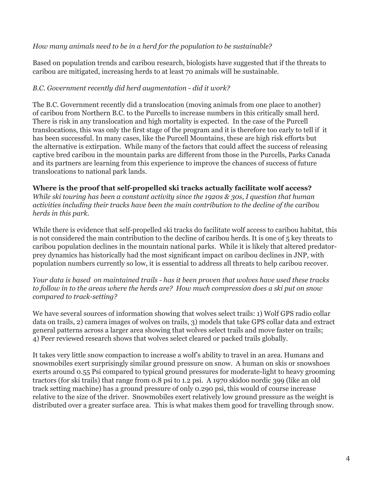#### *How many animals need to be in a herd for the population to be sustainable?*

Based on population trends and caribou research, biologists have suggested that if the threats to caribou are mitigated, increasing herds to at least 70 animals will be sustainable.

#### *B.C. Government recently did herd augmentation - did it work?*

The B.C. Government recently did a translocation (moving animals from one place to another) of caribou from Northern B.C. to the Purcells to increase numbers in this critically small herd. There is risk in any translocation and high mortality is expected. In the case of the Purcell translocations, this was only the first stage of the program and it is therefore too early to tell if it has been successful. In many cases, like the Purcell Mountains, these are high risk efforts but the alternative is extirpation. While many of the factors that could affect the success of releasing captive bred caribou in the mountain parks are different from those in the Purcells, Parks Canada and its partners are learning from this experience to improve the chances of success of future translocations to national park lands.

#### **Where is the proof that self-propelled ski tracks actually facilitate wolf access?**

*While ski touring has been a constant activity since the 1920s & 30s, I question that human activities including their tracks have been the main contribution to the decline of the caribou herds in this park.* 

While there is evidence that self-propelled ski tracks do facilitate wolf access to caribou habitat, this is not considered the main contribution to the decline of caribou herds. It is one of 5 key threats to caribou population declines in the mountain national parks. While it is likely that altered predatorprey dynamics has historically had the most significant impact on caribou declines in JNP, with population numbers currently so low, it is essential to address all threats to help caribou recover.

*Your data is based on maintained trails - has it been proven that wolves have used these tracks to follow in to the areas where the herds are? How much compression does a ski put on snow compared to track-setting?* 

We have several sources of information showing that wolves select trails: 1) Wolf GPS radio collar data on trails, 2) camera images of wolves on trails, 3) models that take GPS collar data and extract general patterns across a larger area showing that wolves select trails and move faster on trails; 4) Peer reviewed research shows that wolves select cleared or packed trails globally.

It takes very little snow compaction to increase a wolf's ability to travel in an area. Humans and snowmobiles exert surprisingly similar ground pressure on snow. A human on skis or snowshoes exerts around 0.55 Psi compared to typical ground pressures for moderate-light to heavy grooming tractors (for ski trails) that range from 0.8 psi to 1.2 psi. A 1970 skidoo nordic 399 (like an old track setting machine) has a ground pressure of only 0.290 psi, this would of course increase relative to the size of the driver. Snowmobiles exert relatively low ground pressure as the weight is distributed over a greater surface area. This is what makes them good for travelling through snow.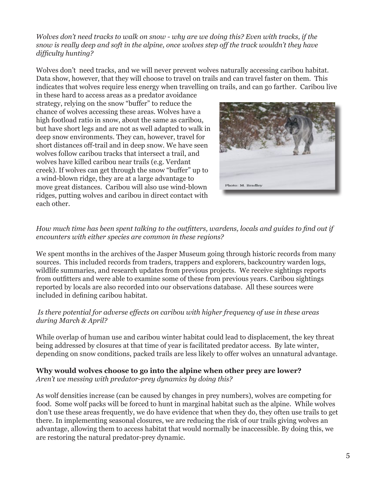*Wolves don't need tracks to walk on snow - why are we doing this? Even with tracks, if the snow is really deep and soft in the alpine, once wolves step off the track wouldn't they have difficulty hunting?* 

Wolves don't need tracks, and we will never prevent wolves naturally accessing caribou habitat. Data show, however, that they will choose to travel on trails and can travel faster on them. This indicates that wolves require less energy when travelling on trails, and can go farther. Caribou live

in these hard to access areas as a predator avoidance strategy, relying on the snow "buffer" to reduce the chance of wolves accessing these areas. Wolves have a high footload ratio in snow, about the same as caribou, but have short legs and are not as well adapted to walk in deep snow environments. They can, however, travel for short distances off-trail and in deep snow. We have seen wolves follow caribou tracks that intersect a trail, and wolves have killed caribou near trails (e.g. Verdant creek). If wolves can get through the snow "buffer" up to a wind-blown ridge, they are at a large advantage to move great distances. Caribou will also use wind-blown ridges, putting wolves and caribou in direct contact with each other.



#### *How much time has been spent talking to the outfitters, wardens, locals and guides to find out if encounters with either species are common in these regions?*

We spent months in the archives of the Jasper Museum going through historic records from many sources. This included records from traders, trappers and explorers, backcountry warden logs, wildlife summaries, and research updates from previous projects. We receive sightings reports from outfitters and were able to examine some of these from previous years. Caribou sightings reported by locals are also recorded into our observations database. All these sources were included in defining caribou habitat.

#### *Is there potential for adverse effects on caribou with higher frequency of use in these areas during March & April?*

While overlap of human use and caribou winter habitat could lead to displacement, the key threat being addressed by closures at that time of year is facilitated predator access. By late winter, depending on snow conditions, packed trails are less likely to offer wolves an unnatural advantage.

#### **Why would wolves choose to go into the alpine when other prey are lower?**

*Aren't we messing with predator-prey dynamics by doing this?* 

As wolf densities increase (can be caused by changes in prey numbers), wolves are competing for food. Some wolf packs will be forced to hunt in marginal habitat such as the alpine. While wolves don't use these areas frequently, we do have evidence that when they do, they often use trails to get there. In implementing seasonal closures, we are reducing the risk of our trails giving wolves an advantage, allowing them to access habitat that would normally be inaccessible. By doing this, we are restoring the natural predator-prey dynamic.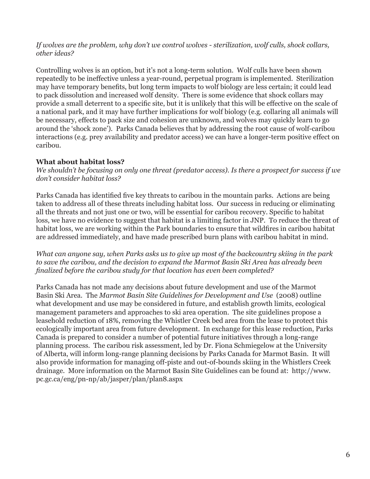#### *If wolves are the problem, why don't we control wolves - sterilization, wolf culls, shock collars, other ideas?*

Controlling wolves is an option, but it's not a long-term solution. Wolf culls have been shown repeatedly to be ineffective unless a year-round, perpetual program is implemented. Sterilization may have temporary benefits, but long term impacts to wolf biology are less certain; it could lead to pack dissolution and increased wolf density. There is some evidence that shock collars may provide a small deterrent to a specific site, but it is unlikely that this will be effective on the scale of a national park, and it may have further implications for wolf biology (e.g. collaring all animals will be necessary, effects to pack size and cohesion are unknown, and wolves may quickly learn to go around the 'shock zone'). Parks Canada believes that by addressing the root cause of wolf-caribou interactions (e.g. prey availability and predator access) we can have a longer-term positive effect on caribou.

#### **What about habitat loss?**

*We shouldn't be focusing on only one threat (predator access). Is there a prospect for success if we don't consider habitat loss?* 

Parks Canada has identified five key threats to caribou in the mountain parks. Actions are being taken to address all of these threats including habitat loss. Our success in reducing or eliminating all the threats and not just one or two, will be essential for caribou recovery. Specific to habitat loss, we have no evidence to suggest that habitat is a limiting factor in JNP. To reduce the threat of habitat loss, we are working within the Park boundaries to ensure that wildfires in caribou habitat are addressed immediately, and have made prescribed burn plans with caribou habitat in mind.

*What can anyone say, when Parks asks us to give up most of the backcountry skiing in the park to save the caribou, and the decision to expand the Marmot Basin Ski Area has already been finalized before the caribou study for that location has even been completed?* 

Parks Canada has not made any decisions about future development and use of the Marmot Basin Ski Area. The *Marmot Basin Site Guidelines for Development and Use* (2008) outline what development and use may be considered in future, and establish growth limits, ecological management parameters and approaches to ski area operation. The site guidelines propose a leasehold reduction of 18%, removing the Whistler Creek bed area from the lease to protect this ecologically important area from future development. In exchange for this lease reduction, Parks Canada is prepared to consider a number of potential future initiatives through a long-range planning process. The caribou risk assessment, led by Dr. Fiona Schmiegelow at the University of Alberta, will inform long-range planning decisions by Parks Canada for Marmot Basin. It will also provide information for managing off-piste and out-of-bounds skiing in the Whistlers Creek drainage. More information on the Marmot Basin Site Guidelines can be found at: http://www. pc.gc.ca/eng/pn-np/ab/jasper/plan/plan8.aspx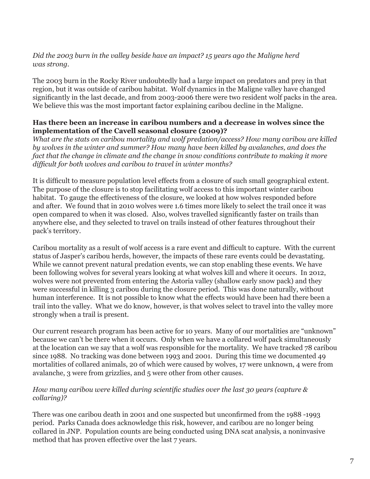#### *Did the 2003 burn in the valley beside have an impact? 15 years ago the Maligne herd was strong.*

The 2003 burn in the Rocky River undoubtedly had a large impact on predators and prey in that region, but it was outside of caribou habitat. Wolf dynamics in the Maligne valley have changed significantly in the last decade, and from 2003-2006 there were two resident wolf packs in the area. We believe this was the most important factor explaining caribou decline in the Maligne.

#### **Has there been an increase in caribou numbers and a decrease in wolves since the implementation of the Cavell seasonal closure (2009)?**

*What are the stats on caribou mortality and wolf predation/access? How many caribou are killed by wolves in the winter and summer? How many have been killed by avalanches, and does the fact that the change in climate and the change in snow conditions contribute to making it more difficult for both wolves and caribou to travel in winter months?* 

It is difficult to measure population level effects from a closure of such small geographical extent. The purpose of the closure is to stop facilitating wolf access to this important winter caribou habitat. To gauge the effectiveness of the closure, we looked at how wolves responded before and after. We found that in 2010 wolves were 1.6 times more likely to select the trail once it was open compared to when it was closed. Also, wolves travelled significantly faster on trails than anywhere else, and they selected to travel on trails instead of other features throughout their pack's territory.

Caribou mortality as a result of wolf access is a rare event and difficult to capture. With the current status of Jasper's caribou herds, however, the impacts of these rare events could be devastating. While we cannot prevent natural predation events, we can stop enabling these events. We have been following wolves for several years looking at what wolves kill and where it occurs. In 2012, wolves were not prevented from entering the Astoria valley (shallow early snow pack) and they were successful in killing 3 caribou during the closure period. This was done naturally, without human interference. It is not possible to know what the effects would have been had there been a trail into the valley. What we do know, however, is that wolves select to travel into the valley more strongly when a trail is present.

Our current research program has been active for 10 years. Many of our mortalities are "unknown" because we can't be there when it occurs. Only when we have a collared wolf pack simultaneously at the location can we say that a wolf was responsible for the mortality. We have tracked 78 caribou since 1988. No tracking was done between 1993 and 2001. During this time we documented 49 mortalities of collared animals, 20 of which were caused by wolves, 17 were unknown, 4 were from avalanche, 3 were from grizzlies, and 5 were other from other causes.

#### *How many caribou were killed during scientific studies over the last 30 years (capture & collaring)?*

There was one caribou death in 2001 and one suspected but unconfirmed from the 1988 -1993 period. Parks Canada does acknowledge this risk, however, and caribou are no longer being collared in JNP. Population counts are being conducted using DNA scat analysis, a noninvasive method that has proven effective over the last 7 years.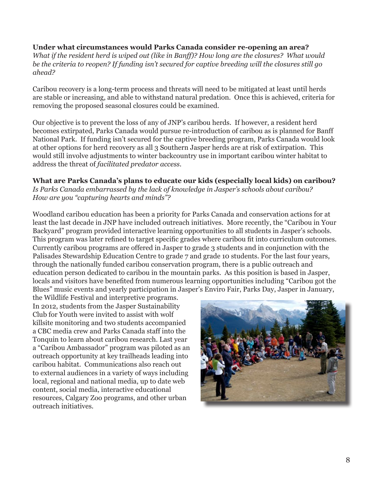#### **Under what circumstances would Parks Canada consider re-opening an area?**  *What if the resident herd is wiped out (like in Banff)? How long are the closures? What would be the criteria to reopen? If funding isn't secured for captive breeding will the closures still go ahead?*

Caribou recovery is a long-term process and threats will need to be mitigated at least until herds are stable or increasing, and able to withstand natural predation. Once this is achieved, criteria for removing the proposed seasonal closures could be examined.

Our objective is to prevent the loss of any of JNP's caribou herds. If however, a resident herd becomes extirpated, Parks Canada would pursue re-introduction of caribou as is planned for Banff National Park. If funding isn't secured for the captive breeding program, Parks Canada would look at other options for herd recovery as all 3 Southern Jasper herds are at risk of extirpation. This would still involve adjustments to winter backcountry use in important caribou winter habitat to address the threat of *facilitated predator access.* 

**What are Parks Canada's plans to educate our kids (especially local kids) on caribou?**  *Is Parks Canada embarrassed by the lack of knowledge in Jasper's schools about caribou? How are you "capturing hearts and minds"?* 

Woodland caribou education has been a priority for Parks Canada and conservation actions for at least the last decade in JNP have included outreach initiatives. More recently, the "Caribou in Your Backyard" program provided interactive learning opportunities to all students in Jasper's schools. This program was later refined to target specific grades where caribou fit into curriculum outcomes. Currently caribou programs are offered in Jasper to grade 3 students and in conjunction with the Palisades Stewardship Education Centre to grade 7 and grade 10 students. For the last four years, through the nationally funded caribou conservation program, there is a public outreach and education person dedicated to caribou in the mountain parks. As this position is based in Jasper, locals and visitors have benefited from numerous learning opportunities including "Caribou got the Blues" music events and yearly participation in Jasper's Enviro Fair, Parks Day, Jasper in January,

the Wildlife Festival and interpretive programs. In 2012, students from the Jasper Sustainability Club for Youth were invited to assist with wolf killsite monitoring and two students accompanied a CBC media crew and Parks Canada staff into the Tonquin to learn about caribou research. Last year a "Caribou Ambassador" program was piloted as an outreach opportunity at key trailheads leading into caribou habitat. Communications also reach out to external audiences in a variety of ways including local, regional and national media, up to date web content, social media, interactive educational resources, Calgary Zoo programs, and other urban outreach initiatives.

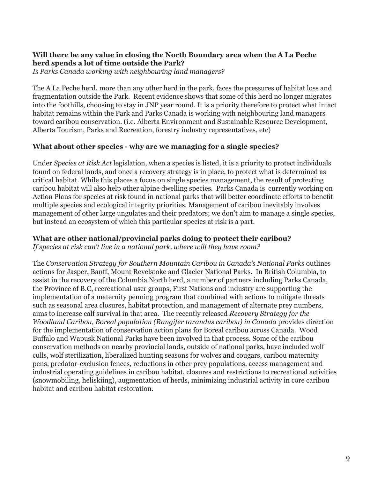#### **Will there be any value in closing the North Boundary area when the A La Peche herd spends a lot of time outside the Park?**

*Is Parks Canada working with neighbouring land managers?* 

The A La Peche herd, more than any other herd in the park, faces the pressures of habitat loss and fragmentation outside the Park. Recent evidence shows that some of this herd no longer migrates into the foothills, choosing to stay in JNP year round. It is a priority therefore to protect what intact habitat remains within the Park and Parks Canada is working with neighbouring land managers toward caribou conservation. (i.e. Alberta Environment and Sustainable Resource Development, Alberta Tourism, Parks and Recreation, forestry industry representatives, etc)

#### **What about other species - why are we managing for a single species?**

Under *Species at Risk Act* legislation, when a species is listed, it is a priority to protect individuals found on federal lands, and once a recovery strategy is in place, to protect what is determined as critical habitat. While this places a focus on single species management, the result of protecting caribou habitat will also help other alpine dwelling species. Parks Canada is currently working on Action Plans for species at risk found in national parks that will better coordinate efforts to benefit multiple species and ecological integrity priorities. Management of caribou inevitably involves management of other large ungulates and their predators; we don't aim to manage a single species, but instead an ecosystem of which this particular species at risk is a part.

#### **What are other national/provincial parks doing to protect their caribou?**

*If species at risk can't live in a national park, where will they have room?* 

The *Conservation Strategy for Southern Mountain Caribou in Canada's National Parks* outlines actions for Jasper, Banff, Mount Revelstoke and Glacier National Parks. In British Columbia, to assist in the recovery of the Columbia North herd, a number of partners including Parks Canada, the Province of B.C, recreational user groups, First Nations and industry are supporting the implementation of a maternity penning program that combined with actions to mitigate threats such as seasonal area closures, habitat protection, and management of alternate prey numbers, aims to increase calf survival in that area. The recently released *Recovery Strategy for the Woodland Caribou, Boreal population (Rangifer tarandus caribou) in Canada* provides direction for the implementation of conservation action plans for Boreal caribou across Canada. Wood Buffalo and Wapusk National Parks have been involved in that process. Some of the caribou conservation methods on nearby provincial lands, outside of national parks, have included wolf culls, wolf sterilization, liberalized hunting seasons for wolves and cougars, caribou maternity pens, predator-exclusion fences, reductions in other prey populations, access management and industrial operating guidelines in caribou habitat, closures and restrictions to recreational activities (snowmobiling, heliskiing), augmentation of herds, minimizing industrial activity in core caribou habitat and caribou habitat restoration.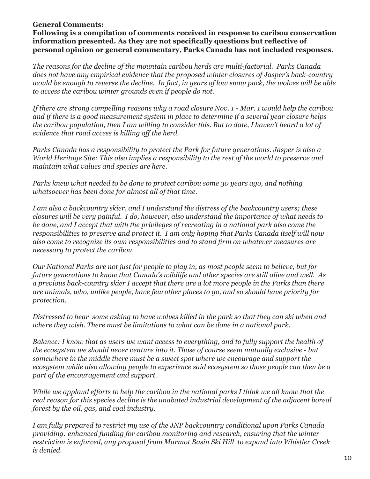#### **General Comments:**

**Following is a compilation of comments received in response to caribou conservation information presented. As they are not specifically questions but reflective of personal opinion or general commentary, Parks Canada has not included responses.** 

*The reasons for the decline of the mountain caribou herds are multi-factorial. Parks Canada does not have any empirical evidence that the proposed winter closures of Jasper's back-country would be enough to reverse the decline. In fact, in years of low snow pack, the wolves will be able to access the caribou winter grounds even if people do not.* 

*If there are strong compelling reasons why a road closure Nov. 1 - Mar. 1 would help the caribou and if there is a good measurement system in place to determine if a several year closure helps the caribou population, then I am willing to consider this. But to date, I haven't heard a lot of evidence that road access is killing off the herd.* 

*Parks Canada has a responsibility to protect the Park for future generations*. *Jasper is also a World Heritage Site: This also implies a responsibility to the rest of the world to preserve and maintain what values and species are here.* 

*Parks knew what needed to be done to protect caribou some 30 years ago, and nothing whatsoever has been done for almost all of that time.* 

*I am also a backcountry skier, and I understand the distress of the backcountry users; these closures will be very painful. I do, however, also understand the importance of what needs to be done, and I accept that with the privileges of recreating in a national park also come the responsibilities to preserve and protect it. I am only hoping that Parks Canada itself will now also come to recognize its own responsibilities and to stand firm on whatever measures are necessary to protect the caribou.* 

*Our National Parks are not just for people to play in, as most people seem to believe, but for future generations to know that Canada's wildlife and other species are still alive and well. As a previous back-country skier I accept that there are a lot more people in the Parks than there are animals, who, unlike people, have few other places to go, and so should have priority for protection.* 

*Distressed to hear some asking to have wolves killed in the park so that they can ski when and where they wish. There must be limitations to what can be done in a national park.* 

*Balance: I know that as users we want access to everything, and to fully support the health of the ecosystem we should never venture into it. Those of course seem mutually exclusive - but somewhere in the middle there must be a sweet spot where we encourage and support the ecosystem while also allowing people to experience said ecosystem so those people can then be a part of the encouragement and support.* 

*While we applaud efforts to help the caribou in the national parks I think we all know that the real reason for this species decline is the unabated industrial development of the adjacent boreal forest by the oil, gas, and coal industry.* 

*I am fully prepared to restrict my use of the JNP backcountry conditional upon Parks Canada providing: enhanced funding for caribou monitoring and research, ensuring that the winter restriction is enforced, any proposal from Marmot Basin Ski Hill to expand into Whistler Creek is denied.*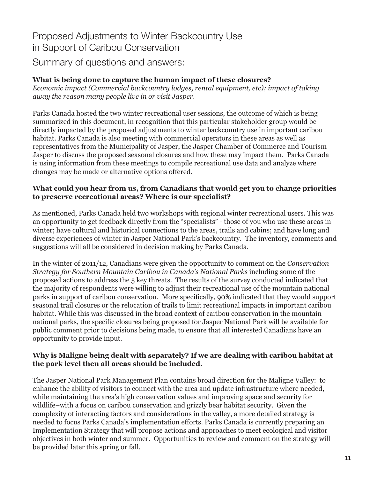Proposed Adjustments to Winter Backcountry Use in Support of Caribou Conservation Summary of questions and answers:

#### **What is being done to capture the human impact of these closures?**

*Economic impact (Commercial backcountry lodges, rental equipment, etc); impact of taking away the reason many people live in or visit Jasper.* 

Parks Canada hosted the two winter recreational user sessions, the outcome of which is being summarized in this document, in recognition that this particular stakeholder group would be directly impacted by the proposed adjustments to winter backcountry use in important caribou habitat. Parks Canada is also meeting with commercial operators in these areas as well as representatives from the Municipality of Jasper, the Jasper Chamber of Commerce and Tourism Jasper to discuss the proposed seasonal closures and how these may impact them. Parks Canada is using information from these meetings to compile recreational use data and analyze where changes may be made or alternative options offered.

#### **What could you hear from us, from Canadians that would get you to change priorities to preserve recreational areas? Where is our specialist?**

As mentioned, Parks Canada held two workshops with regional winter recreational users. This was an opportunity to get feedback directly from the "specialists" - those of you who use these areas in winter; have cultural and historical connections to the areas, trails and cabins; and have long and diverse experiences of winter in Jasper National Park's backcountry. The inventory, comments and suggestions will all be considered in decision making by Parks Canada.

In the winter of 2011/12, Canadians were given the opportunity to comment on the *Conservation Strategy for Southern Mountain Caribou in Canada's National Parks* including some of the proposed actions to address the 5 key threats. The results of the survey conducted indicated that the majority of respondents were willing to adjust their recreational use of the mountain national parks in support of caribou conservation. More specifically, 90% indicated that they would support seasonal trail closures or the relocation of trails to limit recreational impacts in important caribou habitat. While this was discussed in the broad context of caribou conservation in the mountain national parks, the specific closures being proposed for Jasper National Park will be available for public comment prior to decisions being made, to ensure that all interested Canadians have an opportunity to provide input.

#### **Why is Maligne being dealt with separately? If we are dealing with caribou habitat at the park level then all areas should be included.**

The Jasper National Park Management Plan contains broad direction for the Maligne Valley: to enhance the ability of visitors to connect with the area and update infrastructure where needed, while maintaining the area's high conservation values and improving space and security for wildlife–with a focus on caribou conservation and grizzly bear habitat security. Given the complexity of interacting factors and considerations in the valley, a more detailed strategy is needed to focus Parks Canada's implementation efforts. Parks Canada is currently preparing an Implementation Strategy that will propose actions and approaches to meet ecological and visitor objectives in both winter and summer. Opportunities to review and comment on the strategy will be provided later this spring or fall.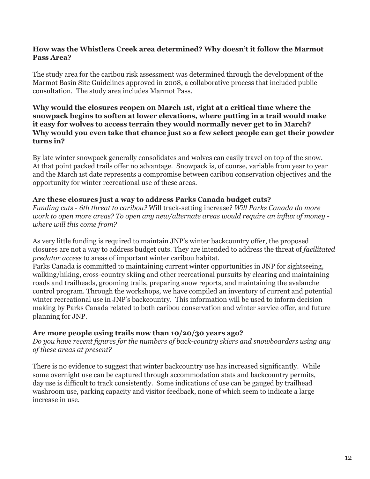#### **How was the Whistlers Creek area determined? Why doesn't it follow the Marmot Pass Area?**

The study area for the caribou risk assessment was determined through the development of the Marmot Basin Site Guidelines approved in 2008, a collaborative process that included public consultation. The study area includes Marmot Pass.

#### it easy for wolves to access terrain they would normally never get to in March? **Why would the closures reopen on March 1st, right at a critical time where the snowpack begins to soften at lower elevations, where putting in a trail would make**  Why would you even take that chance just so a few select people can get their powder **turns in?**

By late winter snowpack generally consolidates and wolves can easily travel on top of the snow. At that point packed trails offer no advantage. Snowpack is, of course, variable from year to year and the March 1st date represents a compromise between caribou conservation objectives and the opportunity for winter recreational use of these areas.

#### **Are these closures just a way to address Parks Canada budget cuts?**

*Funding cuts - 6th threat to caribou?* Will track-setting increase? *Will Parks Canada do more work to open more areas? To open any new/alternate areas would require an influx of money where will this come from?* 

As very little funding is required to maintain JNP's winter backcountry offer, the proposed closures are not a way to address budget cuts. They are intended to address the threat of *facilitated predator access* to areas of important winter caribou habitat.

Parks Canada is committed to maintaining current winter opportunities in JNP for sightseeing, walking/hiking, cross-country skiing and other recreational pursuits by clearing and maintaining roads and trailheads, grooming trails, preparing snow reports, and maintaining the avalanche control program. Through the workshops, we have compiled an inventory of current and potential winter recreational use in JNP's backcountry. This information will be used to inform decision making by Parks Canada related to both caribou conservation and winter service offer, and future planning for JNP.

#### **Are more people using trails now than 10/20/30 years ago?**

 *of these areas at present? Do you have recent figures for the numbers of back-country skiers and snowboarders using any* 

There is no evidence to suggest that winter backcountry use has increased significantly. While some overnight use can be captured through accommodation stats and backcountry permits, day use is difficult to track consistently. Some indications of use can be gauged by trailhead washroom use, parking capacity and visitor feedback, none of which seem to indicate a large increase in use.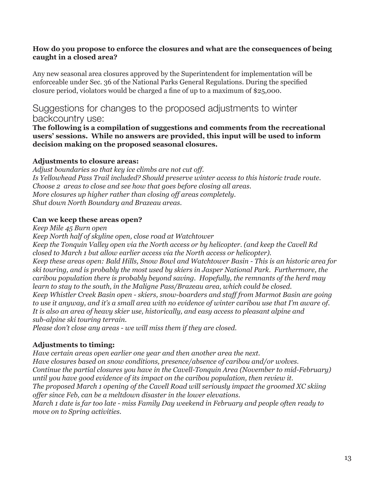#### **How do you propose to enforce the closures and what are the consequences of being caught in a closed area?**

Any new seasonal area closures approved by the Superintendent for implementation will be enforceable under Sec. 36 of the National Parks General Regulations. During the specified closure period, violators would be charged a fine of up to a maximum of \$25,000.

### Suggestions for changes to the proposed adjustments to winter backcountry use:

**The following is a compilation of suggestions and comments from the recreational users' sessions. While no answers are provided, this input will be used to inform decision making on the proposed seasonal closures.** 

#### **Adjustments to closure areas:**

*Adjust boundaries so that key ice climbs are not cut off. Is Yellowhead Pass Trail included? Should preserve winter access to this historic trade route. Choose 2 areas to close and see how that goes before closing all areas. More closures up higher rather than closing off areas completely. Shut down North Boundary and Brazeau areas.*

#### **Can we keep these areas open?**

*Keep Mile 45 Burn open* 

*Keep North half of skyline open, close road at Watchtower Keep the Tonquin Valley open via the North access or by helicopter. (and keep the Cavell Rd* 

 *to use it anyway, and it's a small area with no evidence of winter caribou use that I'm aware of. It is also an area of heavy skier use, historically, and easy access to pleasant alpine and closed to March 1 but allow earlier access via the North access or helicopter). Keep these areas open: Bald Hills, Snow Bowl and Watchtower Basin - This is an historic area for ski touring, and is probably the most used by skiers in Jasper National Park. Furthermore, the caribou population there is probably beyond saving. Hopefully, the remnants of the herd may learn to stay to the south, in the Maligne Pass/Brazeau area, which could be closed. Keep Whistler Creek Basin open - skiers, snow-boarders and staff from Marmot Basin are going sub-alpine ski touring terrain.* 

*Please don't close any areas - we will miss them if they are closed.* 

#### **Adjustments to timing:**

*Have certain areas open earlier one year and then another area the next. Have closures based on snow conditions, presence/absence of caribou and/or wolves. Continue the partial closures you have in the Cavell-Tonquin Area (November to mid-February) until you have good evidence of its impact on the caribou population, then review it. The proposed March 1 opening of the Cavell Road will seriously impact the groomed XC skiing offer since Feb, can be a meltdown disaster in the lower elevations. March 1 date is far too late - miss Family Day weekend in February and people often ready to* 

*move on to Spring activities.*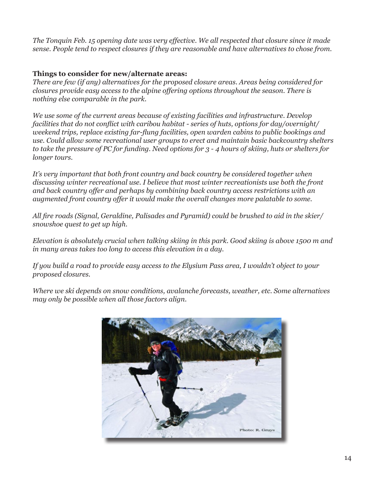*The Tonquin Feb. 15 opening date was very effective. We all respected that closure since it made sense. People tend to respect closures if they are reasonable and have alternatives to chose from.* 

#### **Things to consider for new/alternate areas:**

*There are few (if any) alternatives for the proposed closure areas. Areas being considered for closures provide easy access to the alpine offering options throughout the season. There is nothing else comparable in the park.* 

*We use some of the current areas because of existing facilities and infrastructure. Develop facilities that do not conflict with caribou habitat - series of huts, options for day/overnight/ weekend trips, replace existing far-flung facilities, open warden cabins to public bookings and use. Could allow some recreational user groups to erect and maintain basic backcountry shelters to take the pressure of PC for funding. Need options for 3 - 4 hours of skiing, huts or shelters for longer tours.* 

*It's very important that both front country and back country be considered together when discussing winter recreational use. I believe that most winter recreationists use both the front and back country offer and perhaps by combining back country access restrictions with an augmented front country offer it would make the overall changes more palatable to some.* 

*All fire roads (Signal, Geraldine, Palisades and Pyramid) could be brushed to aid in the skier/ snowshoe quest to get up high.* 

*Elevation is absolutely crucial when talking skiing in this park. Good skiing is above 1500 m and in many areas takes too long to access this elevation in a day.* 

*If you build a road to provide easy access to the Elysium Pass area, I wouldn't object to your proposed closures.* 

*Where we ski depends on snow conditions, avalanche forecasts, weather, etc. Some alternatives may only be possible when all those factors align.* 

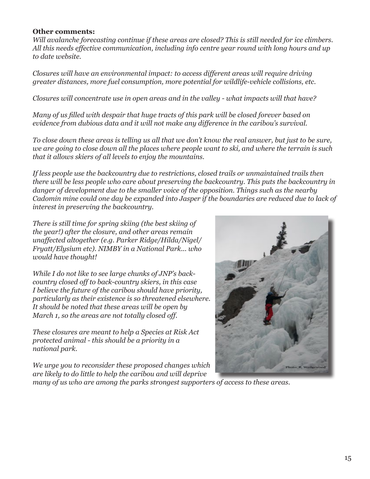#### **Other comments:**

*Will avalanche forecasting continue if these areas are closed? This is still needed for ice climbers. All this needs effective communication, including info centre year round with long hours and up to date website.* 

*Closures will have an environmental impact: to access different areas will require driving greater distances, more fuel consumption, more potential for wildlife-vehicle collisions, etc.* 

*Closures will concentrate use in open areas and in the valley - what impacts will that have?* 

*Many of us filled with despair that huge tracts of this park will be closed forever based on evidence from dubious data and it will not make any difference in the caribou's survival.* 

*To close down these areas is telling us all that we don't know the real answer, but just to be sure, we are going to close down all the places where people want to ski, and where the terrain is such that it allows skiers of all levels to enjoy the mountains.* 

*If less people use the backcountry due to restrictions, closed trails or unmaintained trails then there will be less people who care about preserving the backcountry. This puts the backcountry in danger of development due to the smaller voice of the opposition. Things such as the nearby Cadomin mine could one day be expanded into Jasper if the boundaries are reduced due to lack of interest in preserving the backcountry.* 

*There is still time for spring skiing (the best skiing of the year!) after the closure, and other areas remain unaffected altogether (e.g. Parker Ridge/Hilda/Nigel/ Fryatt/Elysium etc). NIMBY in a National Park... who would have thought!*

 *March 1, so the areas are not totally closed off. While I do not like to see large chunks of JNP's backcountry closed off to back-country skiers, in this case I believe the future of the caribou should have priority, particularly as their existence is so threatened elsewhere. It should be noted that these areas will be open by* 

*These closures are meant to help a Species at Risk Act protected animal - this should be a priority in a national park.*

*We urge you to reconsider these proposed changes which are likely to do little to help the caribou and will deprive* 



*many of us who are among the parks strongest supporters of access to these areas.*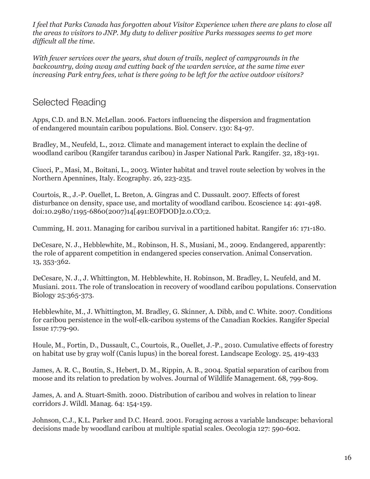*I feel that Parks Canada has forgotten about Visitor Experience when there are plans to close all the areas to visitors to JNP. My duty to deliver positive Parks messages seems to get more difficult all the time.* 

*With fewer services over the years, shut down of trails, neglect of campgrounds in the backcountry, doing away and cutting back of the warden service, at the same time ever increasing Park entry fees, what is there going to be left for the active outdoor visitors?* 

### Selected Reading

Apps, C.D. and B.N. McLellan. 2006. Factors influencing the dispersion and fragmentation of endangered mountain caribou populations. Biol. Conserv. 130: 84-97.

Bradley, M., Neufeld, L., 2012. Climate and management interact to explain the decline of woodland caribou (Rangifer tarandus caribou) in Jasper National Park. Rangifer. 32, 183-191.

Ciucci, P., Masi, M., Boitani, L., 2003. Winter habitat and travel route selection by wolves in the Northern Apennines, Italy. Ecography. 26, 223-235.

Courtois, R., J.-P. Ouellet, L. Breton, A. Gingras and C. Dussault. 2007. Effects of forest disturbance on density, space use, and mortality of woodland caribou. Ecoscience 14: 491-498. doi:10.2980/1195-6860(2007)14[491:EOFDOD]2.0.CO;2.

Cumming, H. 2011. Managing for caribou survival in a partitioned habitat. Rangifer 16: 171-180.

DeCesare, N. J., Hebblewhite, M., Robinson, H. S., Musiani, M., 2009. Endangered, apparently: the role of apparent competition in endangered species conservation. Animal Conservation. 13, 353-362.

DeCesare, N. J., J. Whittington, M. Hebblewhite, H. Robinson, M. Bradley, L. Neufeld, and M. Musiani. 2011. The role of translocation in recovery of woodland caribou populations. Conservation Biology 25:365-373.

Hebblewhite, M., J. Whittington, M. Bradley, G. Skinner, A. Dibb, and C. White. 2007. Conditions for caribou persistence in the wolf-elk-caribou systems of the Canadian Rockies. Rangifer Special Issue 17:79-90.

Houle, M., Fortin, D., Dussault, C., Courtois, R., Ouellet, J.-P., 2010. Cumulative effects of forestry on habitat use by gray wolf (Canis lupus) in the boreal forest. Landscape Ecology. 25, 419-433

James, A. R. C., Boutin, S., Hebert, D. M., Rippin, A. B., 2004. Spatial separation of caribou from moose and its relation to predation by wolves. Journal of Wildlife Management. 68, 799-809.

James, A. and A. Stuart-Smith. 2000. Distribution of caribou and wolves in relation to linear corridors J. Wildl. Manag. 64: 154-159.

Johnson, C.J., K.L. Parker and D.C. Heard. 2001. Foraging across a variable landscape: behavioral decisions made by woodland caribou at multiple spatial scales. Oecologia 127: 590-602.